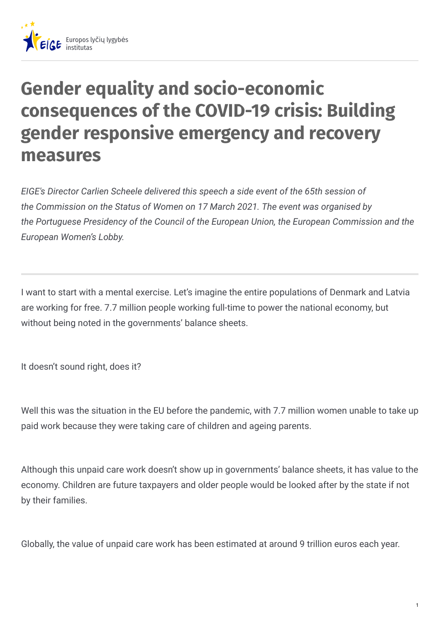

## **Gender equality and socio-economic consequences of the COVID-19 crisis: Building gender responsive emergency and recovery measures**

*EIGE's Director Carlien Scheele delivered this speech a side event of the 65th session of the Commission on the Status of Women on 17 March 2021. The event was organised by the Portuguese Presidency of the Council of the European Union, the European Commission and the European Women's Lobby.*

I want to start with a mental exercise. Let's imagine the entire populations of Denmark and Latvia are working for free. 7.7 million people working full-time to power the national economy, but without being noted in the governments' balance sheets.

It doesn't sound right, does it?

Well this was the situation in the EU before the pandemic, with 7.7 million women unable to take up paid work because they were taking care of children and ageing parents.

Although this unpaid care work doesn't show up in governments' balance sheets, it has value to the economy. Children are future taxpayers and older people would be looked after by the state if not by their families.

Globally, the value of unpaid care work has been estimated at around 9 trillion euros each year.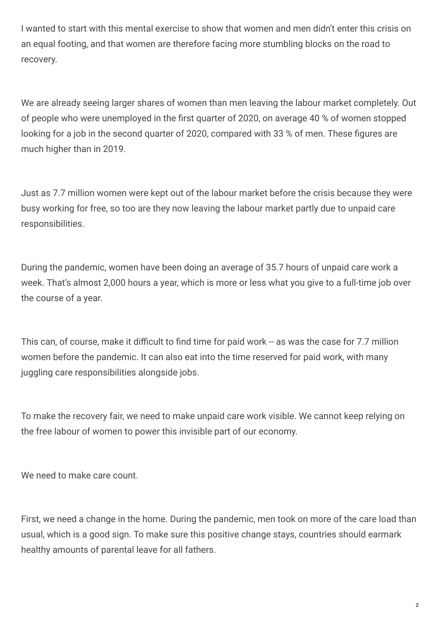I wanted to start with this mental exercise to show that women and men didn't enter this crisis on an equal footing, and that women are therefore facing more stumbling blocks on the road to recovery.

We are already seeing larger shares of women than men leaving the labour market completely. Out of people who were unemployed in the first quarter of 2020, on average 40 % of women stopped looking for a job in the second quarter of 2020, compared with 33 % of men. These figures are much higher than in 2019.

Just as 7.7 million women were kept out of the labour market before the crisis because they were busy working for free, so too are they now leaving the labour market partly due to unpaid care responsibilities.

During the pandemic, women have been doing an average of 35.7 hours of unpaid care work a week. That's almost 2,000 hours a year, which is more or less what you give to a full-time job over the course of a year.

This can, of course, make it difficult to find time for paid work -- as was the case for 7.7 million women before the pandemic. It can also eat into the time reserved for paid work, with many juggling care responsibilities alongside jobs.

To make the recovery fair, we need to make unpaid care work visible. We cannot keep relying on the free labour of women to power this invisible part of our economy.

We need to make care count.

First, we need a change in the home. During the pandemic, men took on more of the care load than usual, which is a good sign. To make sure this positive change stays, countries should earmark healthy amounts of parental leave for all fathers.